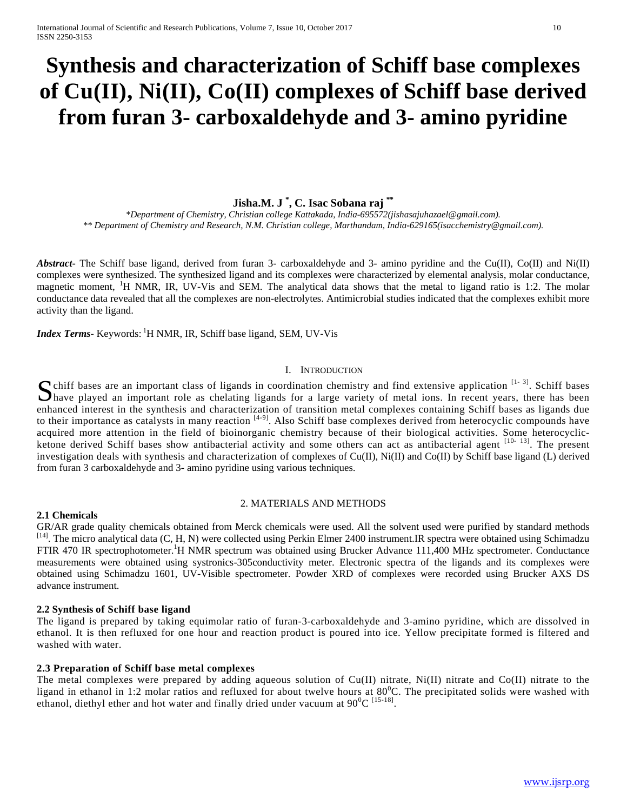# **Synthesis and characterization of Schiff base complexes of Cu(II), Ni(II), Co(II) complexes of Schiff base derived from furan 3- carboxaldehyde and 3- amino pyridine**

## **Jisha.M. J \* , C. Isac Sobana raj \*\***

*\*Department of Chemistry, Christian college Kattakada, India-695572(jishasajuhazael@gmail.com). \*\* Department of Chemistry and Research, N.M. Christian college, Marthandam, India-629165(isacchemistry@gmail.com).*

*Abstract* The Schiff base ligand, derived from furan 3- carboxaldehyde and 3- amino pyridine and the Cu(II), Co(II) and Ni(II) complexes were synthesized. The synthesized ligand and its complexes were characterized by elemental analysis, molar conductance, magnetic moment, <sup>1</sup>H NMR, IR, UV-Vis and SEM. The analytical data shows that the metal to ligand ratio is 1:2. The molar conductance data revealed that all the complexes are non-electrolytes. Antimicrobial studies indicated that the complexes exhibit more activity than the ligand.

Index Terms- Keywords: <sup>1</sup>H NMR, IR, Schiff base ligand, SEM, UV-Vis

## I. INTRODUCTION

Schiff bases are an important class of ligands in coordination chemistry and find extensive application <sup>[1-3]</sup>. Schiff bases have played an important role as chelating ligands for a large variety of metal ions. In recent have played an important role as chelating ligands for a large variety of metal ions. In recent years, there has been enhanced interest in the synthesis and characterization of transition metal complexes containing Schiff bases as ligands due to their importance as catalysts in many reaction <sup>[4-9]</sup>. Also Schiff base complexes derived from heterocyclic compounds have acquired more attention in the field of bioinorganic chemistry because of their biological activities. Some heterocyclicketone derived Schiff bases show antibacterial activity and some others can act as antibacterial agent <sup>[10-13]</sup>. The present investigation deals with synthesis and characterization of complexes of Cu(II), Ni(II) and Co(II) by Schiff base ligand (L) derived from furan 3 carboxaldehyde and 3- amino pyridine using various techniques.

#### 2. MATERIALS AND METHODS

## **2.1 Chemicals**

GR/AR grade quality chemicals obtained from Merck chemicals were used. All the solvent used were purified by standard methods <sup>[14]</sup>. The micro analytical data (C, H, N) were collected using Perkin Elmer 2400 instrument.IR spectra were obtained using Schimadzu FTIR 470 IR spectrophotometer.<sup>1</sup>H NMR spectrum was obtained using Brucker Advance 111,400 MHz spectrometer. Conductance measurements were obtained using systronics-305conductivity meter. Electronic spectra of the ligands and its complexes were obtained using Schimadzu 1601, UV-Visible spectrometer. Powder XRD of complexes were recorded using Brucker AXS DS advance instrument.

#### **2.2 Synthesis of Schiff base ligand**

The ligand is prepared by taking equimolar ratio of furan-3-carboxaldehyde and 3-amino pyridine, which are dissolved in ethanol. It is then refluxed for one hour and reaction product is poured into ice. Yellow precipitate formed is filtered and washed with water.

## **2.3 Preparation of Schiff base metal complexes**

The metal complexes were prepared by adding aqueous solution of Cu(II) nitrate, Ni(II) nitrate and Co(II) nitrate to the ligand in ethanol in 1:2 molar ratios and refluxed for about twelve hours at  $80^{\circ}$ C. The precipitated solids were washed with ethanol, diethyl ether and hot water and finally dried under vacuum at  $90^0C^{115-18}$ .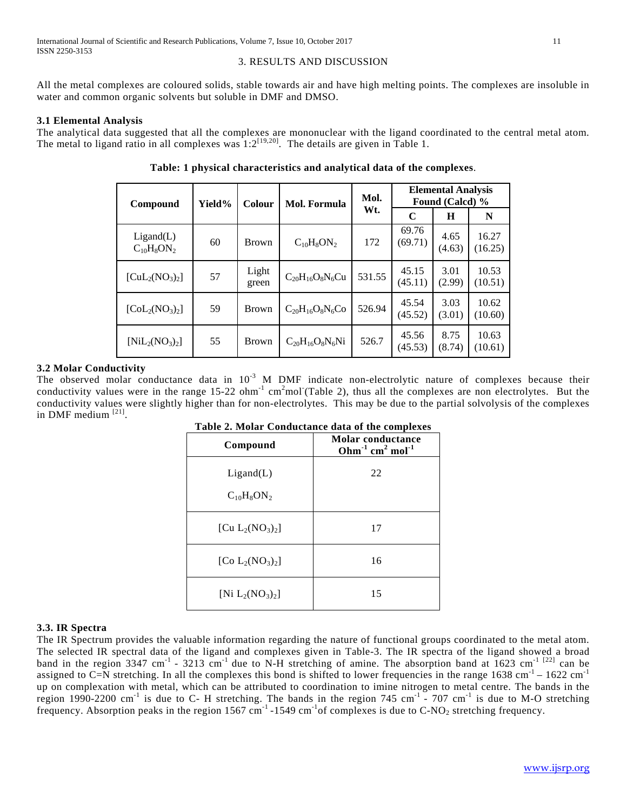## 3. RESULTS AND DISCUSSION

All the metal complexes are coloured solids, stable towards air and have high melting points. The complexes are insoluble in water and common organic solvents but soluble in DMF and DMSO.

## **3.1 Elemental Analysis**

The analytical data suggested that all the complexes are mononuclear with the ligand coordinated to the central metal atom. The metal to ligand ratio in all complexes was  $1:2^{[19,20]}$ . The details are given in Table 1.

| Compound                                     | Yield% | Mol. Formula<br>Colour |                        | Mol.   |                  | <b>Elemental Analysis</b><br>Found (Calcd) % |                  |
|----------------------------------------------|--------|------------------------|------------------------|--------|------------------|----------------------------------------------|------------------|
|                                              |        |                        |                        | Wt.    | $\mathbf C$      | Н                                            | N                |
| Ligand(L)<br>$C_{10}H_8ON_2$                 | 60     | <b>Brown</b>           | $C_{10}H_8ON_2$        | 172    | 69.76<br>(69.71) | 4.65<br>(4.63)                               | 16.27<br>(16.25) |
| $[CuL2(NO3)2]$                               | 57     | Light<br>green         | $C_{20}H_{16}O_8N_6Cu$ | 531.55 | 45.15<br>(45.11) | 3.01<br>(2.99)                               | 10.53<br>(10.51) |
| $\left[\text{Col}_{2}(\text{NO}_3)_2\right]$ | 59     | <b>Brown</b>           | $C_{20}H_{16}O_8N_6Co$ | 526.94 | 45.54<br>(45.52) | 3.03<br>(3.01)                               | 10.62<br>(10.60) |
| $[NiL_2(NO_3)_2]$                            | 55     | <b>Brown</b>           | $C_{20}H_{16}O_8N_6Ni$ | 526.7  | 45.56<br>(45.53) | 8.75<br>(8.74)                               | 10.63<br>(10.61) |

**Table: 1 physical characteristics and analytical data of the complexes**.

## **3.2 Molar Conductivity**

The observed molar conductance data in  $10^{-3}$  M DMF indicate non-electrolytic nature of complexes because their conductivity values were in the range  $15{\text -}22$  ohm<sup>-1</sup> cm<sup>2</sup>mol (Table 2), thus all the complexes are non electrolytes. But the conductivity values were slightly higher than for non-electrolytes. This may be due to the partial solvolysis of the complexes in DMF medium<sup>[21]</sup>.

| Compound                     | Molar conductance<br>Ohm $^{-1}$ cm <sup>2</sup> mol <sup>-1</sup> |
|------------------------------|--------------------------------------------------------------------|
| Ligand(L)<br>$C_{10}H_8ON_2$ | 22                                                                 |
| [Cu $L_2(NO_3)_2$ ]          | 17                                                                 |
| [Co $L_2(NO_3)_2$ ]          | 16                                                                 |
| [Ni $L_2(NO_3)_2$ ]          | 15                                                                 |

**Table 2. Molar Conductance data of the complexes**

## **3.3. IR Spectra**

The IR Spectrum provides the valuable information regarding the nature of functional groups coordinated to the metal atom. The selected IR spectral data of the ligand and complexes given in Table-3. The IR spectra of the ligand showed a broad band in the region 3347 cm<sup>-1</sup> - 3213 cm<sup>-1</sup> due to N-H stretching of amine. The absorption band at  $1623$  cm<sup>-1 [22]</sup> can be assigned to C=N stretching. In all the complexes this bond is shifted to lower frequencies in the range  $1638 \text{ cm}^{-1} - 1622 \text{ cm}^{-1}$ up on complexation with metal, which can be attributed to coordination to imine nitrogen to metal centre. The bands in the region 1990-2200 cm<sup>-1</sup> is due to C- H stretching. The bands in the region 745 cm<sup>-1</sup> - 707 cm<sup>-1</sup> is due to M-O stretching frequency. Absorption peaks in the region 1567 cm<sup>-1</sup> -1549 cm<sup>-1</sup> of complexes is due to C-NO<sub>2</sub> stretching frequency.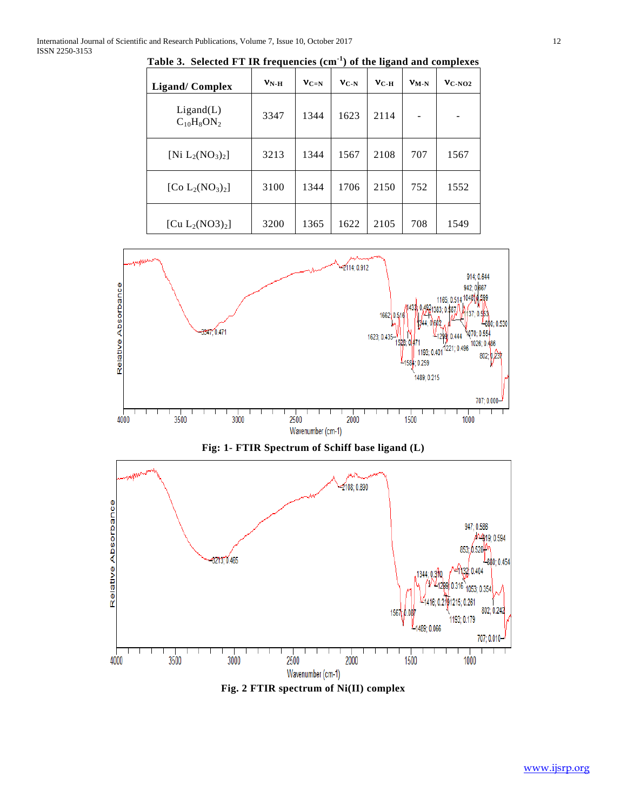| <b>Ligand/Complex</b>                   | $VN-H$ | $V_{C=N}$ | $V_{C-N}$ | $v_{C-H}$ | $V_{M-N}$ | $V_{C-NO2}$ |
|-----------------------------------------|--------|-----------|-----------|-----------|-----------|-------------|
| Ligand(L)<br>$C_{10}H_8ON_2$            | 3347   | 1344      | 1623      | 2114      |           |             |
| [Ni $L_2(NO_3)_2$ ]                     | 3213   | 1344      | 1567      | 2108      | 707       | 1567        |
| [Co $L_2(NO_3)_2$ ]                     | 3100   | 1344      | 1706      | 2150      | 752       | 1552        |
| [Cu L <sub>2</sub> (NO3) <sub>2</sub> ] | 3200   | 1365      | 1622      | 2105      | 708       | 1549        |

**Table 3. Selected FT IR frequencies (cm-1 ) of the ligand and complexes**





**Fig. 2 FTIR spectrum of Ni(II) complex**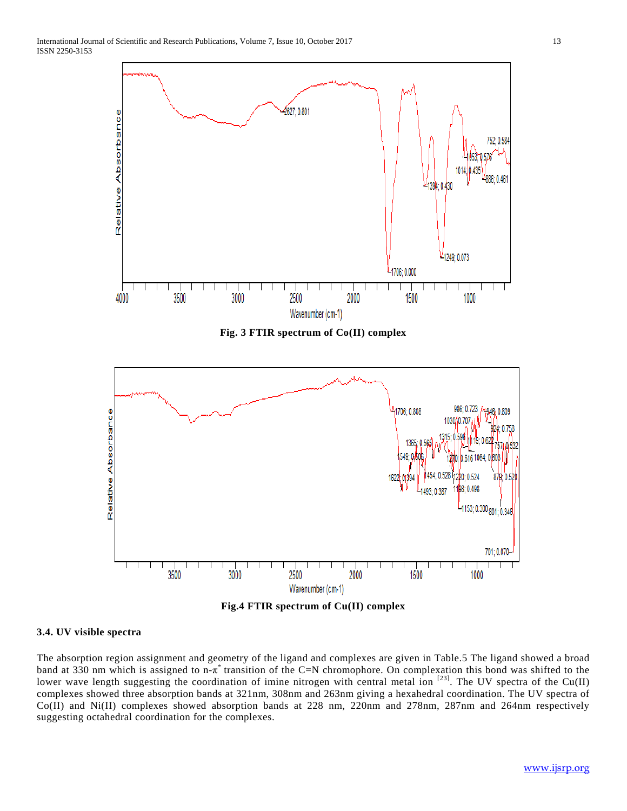

**Fig. 3 FTIR spectrum of Co(II) complex**



**Fig.4 FTIR spectrum of Cu(II) complex**

#### **3.4. UV visible spectra**

The absorption region assignment and geometry of the ligand and complexes are given in Table.5 The ligand showed a broad band at 330 nm which is assigned to n- $\pi^*$  transition of the C=N chromophore. On complexation this bond was shifted to the lower wave length suggesting the coordination of imine nitrogen with central metal ion  $^{[23]}$ . The UV spectra of the Cu(II) complexes showed three absorption bands at 321nm, 308nm and 263nm giving a hexahedral coordination. The UV spectra of Co(II) and Ni(II) complexes showed absorption bands at 228 nm, 220nm and 278nm, 287nm and 264nm respectively suggesting octahedral coordination for the complexes.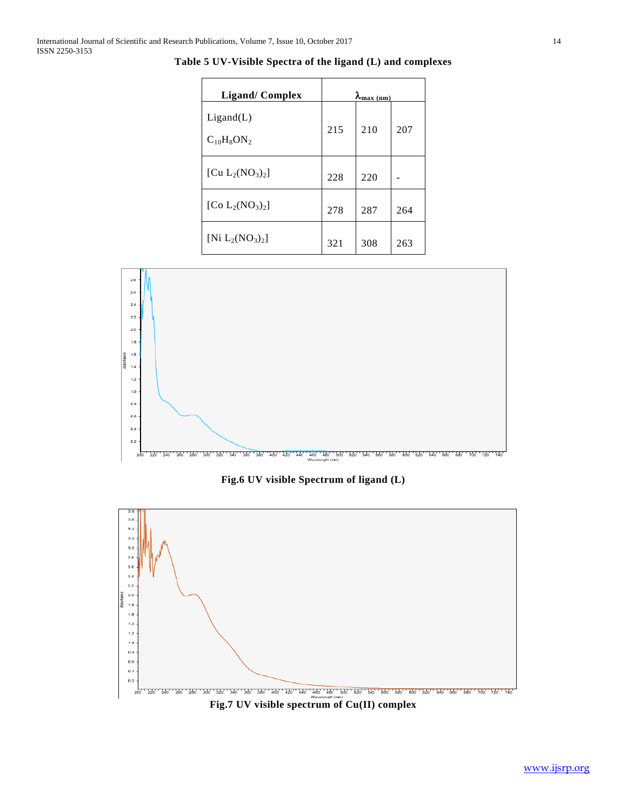| <b>Ligand/Complex</b>        | $\lambda_{\frac{\text{max (nm)}}{\text{max (nm)}}}$ |     |     |
|------------------------------|-----------------------------------------------------|-----|-----|
| Ligand(L)<br>$C_{10}H_8ON_2$ | 215                                                 | 210 | 207 |
| [Cu $L_2(NO_3)_2$ ]          | 228                                                 | 220 |     |
| [Co $L_2(NO_3)_2$ ]          | 278                                                 | 287 | 264 |
| $[Ni L_2(NO_3)_2]$           | 321                                                 | 308 | 263 |

**Table 5 UV-Visible Spectra of the ligand (L) and complexes**



**Fig.6 UV visible Spectrum of ligand (L)**



**Fig.7 UV visible spectrum of Cu(II) complex**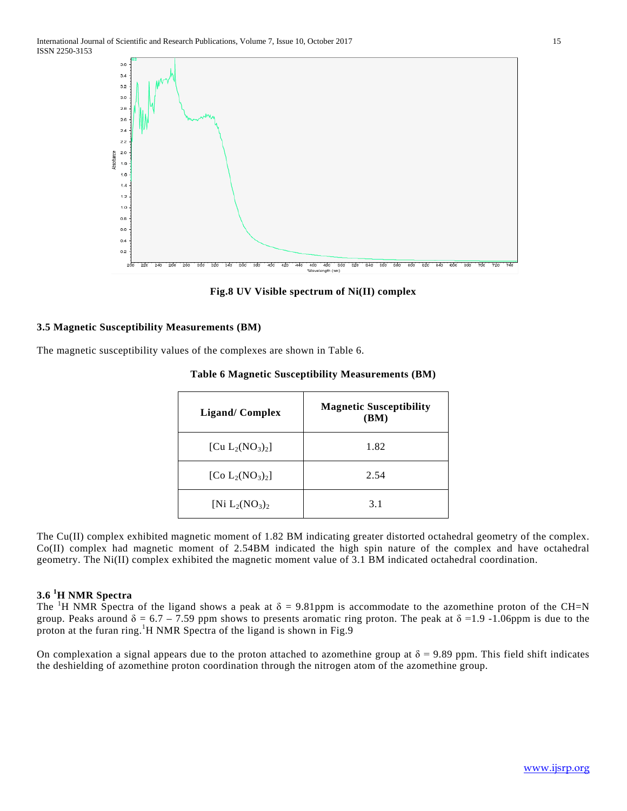

**Fig.8 UV Visible spectrum of Ni(II) complex**

## **3.5 Magnetic Susceptibility Measurements (BM)**

The magnetic susceptibility values of the complexes are shown in Table 6.

| <b>Ligand/Complex</b> | <b>Magnetic Susceptibility</b><br>(BM) |
|-----------------------|----------------------------------------|
| [Cu $L_2(NO_3)_2$ ]   | 1.82                                   |
| [Co $L_2(NO_3)_2$ ]   | 2.54                                   |
| [Ni $L_2(NO_3)_2$     | 3.1                                    |

#### **Table 6 Magnetic Susceptibility Measurements (BM)**

The Cu(II) complex exhibited magnetic moment of 1.82 BM indicating greater distorted octahedral geometry of the complex. Co(II) complex had magnetic moment of 2.54BM indicated the high spin nature of the complex and have octahedral geometry. The Ni(II) complex exhibited the magnetic moment value of 3.1 BM indicated octahedral coordination.

## **3.6 <sup>1</sup> H NMR Spectra**

The <sup>1</sup>H NMR Spectra of the ligand shows a peak at  $\delta = 9.81$ ppm is accommodate to the azomethine proton of the CH=N group. Peaks around  $\delta = 6.7 - 7.59$  ppm shows to presents aromatic ring proton. The peak at  $\delta = 1.9 - 1.06$ ppm is due to the proton at the furan ring.<sup>1</sup>H NMR Spectra of the ligand is shown in Fig.9

On complexation a signal appears due to the proton attached to azomethine group at  $\delta = 9.89$  ppm. This field shift indicates the deshielding of azomethine proton coordination through the nitrogen atom of the azomethine group.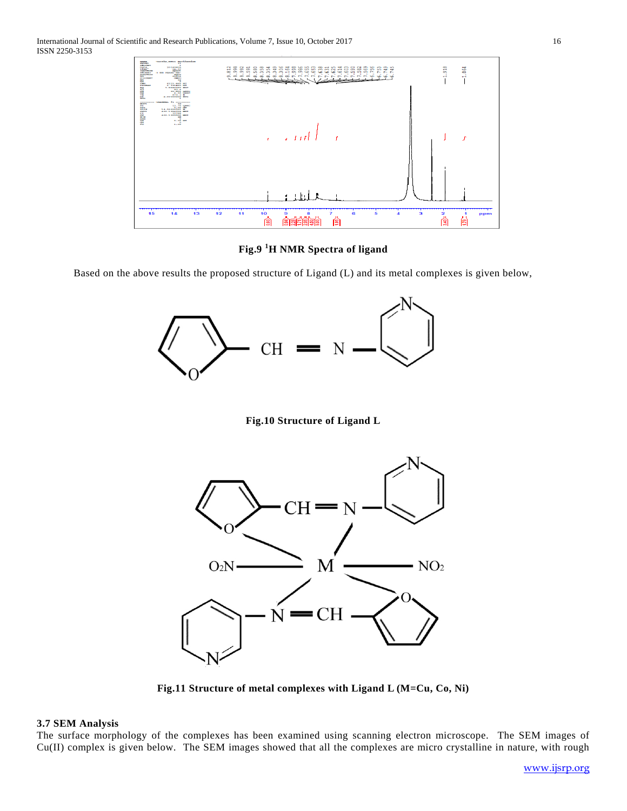

**Fig.9 <sup>1</sup> H NMR Spectra of ligand**

Based on the above results the proposed structure of Ligand (L) and its metal complexes is given below,



**Fig.10 Structure of Ligand L**



**Fig.11 Structure of metal complexes with Ligand L (M=Cu, Co, Ni)**

#### **3.7 SEM Analysis**

The surface morphology of the complexes has been examined using scanning electron microscope. The SEM images of Cu(II) complex is given below. The SEM images showed that all the complexes are micro crystalline in nature, with rough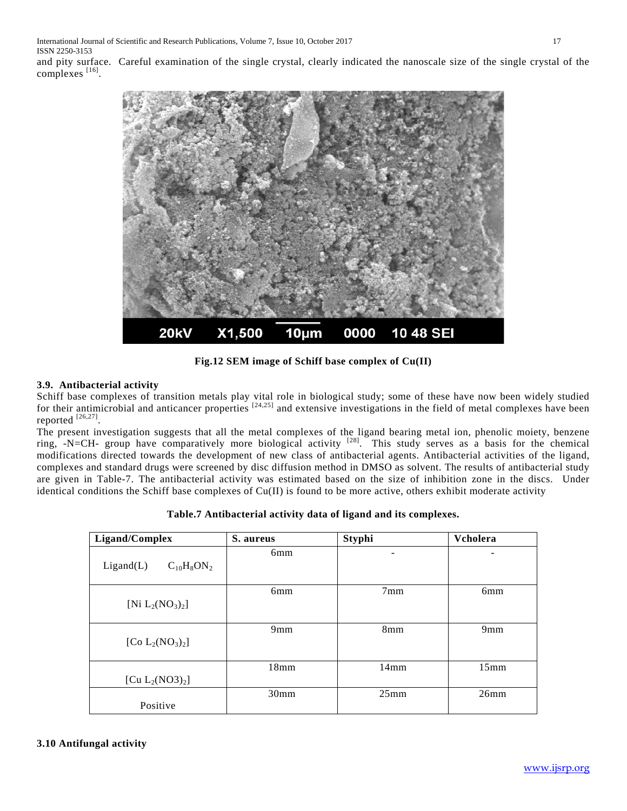International Journal of Scientific and Research Publications, Volume 7, Issue 10, October 2017 17 ISSN 2250-3153

and pity surface. Careful examination of the single crystal, clearly indicated the nanoscale size of the single crystal of the complexes [16].



**Fig.12 SEM image of Schiff base complex of Cu(II)**

## **3.9. Antibacterial activity**

Schiff base complexes of transition metals play vital role in biological study; some of these have now been widely studied for their antimicrobial and anticancer properties  $[24,25]$  and extensive investigations in the field of metal complexes have been reported  $^{[26,27]}$ .

The present investigation suggests that all the metal complexes of the ligand bearing metal ion, phenolic moiety, benzene ring, -N=CH- group have comparatively more biological activity  $[28]$ . This study serves as a basis for the chemical modifications directed towards the development of new class of antibacterial agents. Antibacterial activities of the ligand, complexes and standard drugs were screened by disc diffusion method in DMSO as solvent. The results of antibacterial study are given in Table-7. The antibacterial activity was estimated based on the size of inhibition zone in the discs. Under identical conditions the Schiff base complexes of  $Cu(II)$  is found to be more active, others exhibit moderate activity

| Ligand/Complex                          | S. aureus       | <b>Styphi</b>   | Vcholera        |
|-----------------------------------------|-----------------|-----------------|-----------------|
| $C_{10}H_8ON_2$<br>Ligand(L)            | 6 <sub>mm</sub> | ۰               |                 |
| [Ni $L_2(NO_3)_2$ ]                     | 6mm             | 7 <sub>mm</sub> | 6 <sub>mm</sub> |
| [Co $L_2(NO_3)_2$ ]                     | 9mm             | 8 <sub>mm</sub> | 9mm             |
| [Cu L <sub>2</sub> (NO3) <sub>2</sub> ] | 18mm            | 14mm            | 15mm            |
| Positive                                | 30mm            | 25mm            | 26mm            |

**Table.7 Antibacterial activity data of ligand and its complexes.**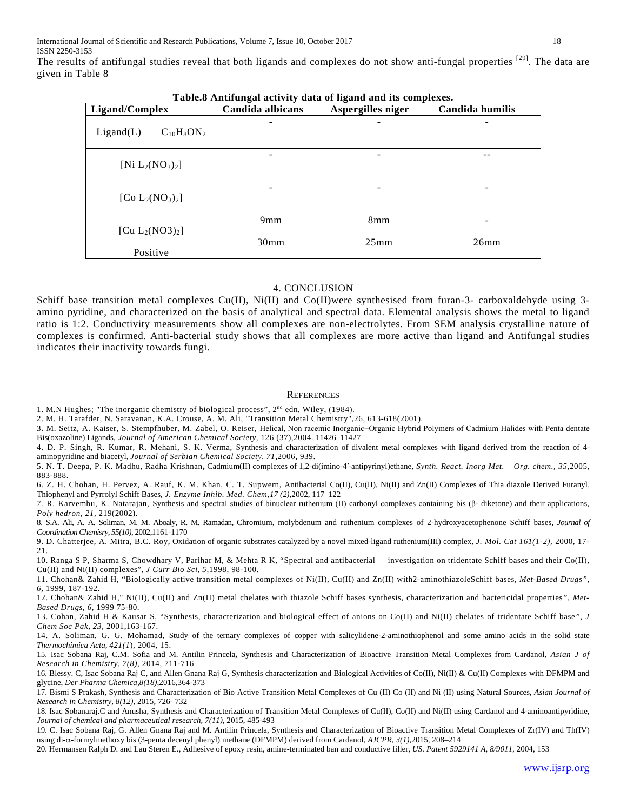The results of antifungal studies reveal that both ligands and complexes do not show anti-fungal properties [29]. The data are given in Table 8

| Ligand/Complex               | Candida albicans | Table.o Anthungal activity uata of liganu and its complexes.<br>Aspergilles niger | Candida humilis |  |
|------------------------------|------------------|-----------------------------------------------------------------------------------|-----------------|--|
| Ligand(L)<br>$C_{10}H_8ON_2$ |                  |                                                                                   |                 |  |
| [Ni $L_2(NO_3)_2$ ]          |                  |                                                                                   |                 |  |
| [Co $L_2(NO_3)_2$ ]          | -                |                                                                                   |                 |  |
| [Cu $L_2(NO3)_2$ ]           | 9mm              | 8 <sub>mm</sub>                                                                   |                 |  |
| Positive                     | 30 <sub>mm</sub> | $25$ mm                                                                           | 26mm            |  |

**Table.8 Antifungal activity data of ligand and its complexes.**

## 4. CONCLUSION

Schiff base transition metal complexes Cu(II), Ni(II) and Co(II)were synthesised from furan-3- carboxaldehyde using 3amino pyridine, and characterized on the basis of analytical and spectral data. Elemental analysis shows the metal to ligand ratio is 1:2. Conductivity measurements show all complexes are non-electrolytes. From SEM analysis crystalline nature of complexes is confirmed. Anti-bacterial study shows that all complexes are more active than ligand and Antifungal studies indicates their inactivity towards fungi.

#### **REFERENCES**

1. M.N Hughes; "The inorganic chemistry of biological process", 2<sup>nd</sup> edn, Wiley, (1984).

2. M. H. Tarafder, N. Saravanan, K.A. Crouse, A. M. Ali, "Transition Metal Chemistry",26, 613-618(2001).

3. M. Seitz, A. Kaiser, S. Stempfhuber, M. Zabel, O. Reiser, Helical, Non racemic Inorganic−Organic Hybrid Polymers of Cadmium Halides with Penta dentate Bis(oxazoline) Ligands, *Journal of American Chemical Society*, 126 (37),2004. 11426–11427

4. D. P. Singh, R. Kumar, R. Mehani, S. K. Verma, Synthesis and characterization of divalent metal complexes with ligand derived from the reaction of 4 aminopyridine and biacetyl, *Journal of Serbian Chemical Society, 71,*2006, 939.

5. N. T. Deepa, P. K. Madhu, Radha Krishnan**,** Cadmium(II) complexes of 1,2-di(imino-4′-antipyrinyl)ethane, *Synth. React. Inorg Met. – Org. chem., 35*,2005, 883-888.

6. Z. H. Chohan, H. Pervez, A. Rauf, K. M. Khan, C. T. Supwern, Antibacterial Co(II), Cu(II), Ni(II) and Zn(II) Complexes of Thia diazole Derived Furanyl, Thiophenyl and Pyrrolyl Schiff Bases, *J. Enzyme Inhib. Med. Chem,17 (2),*2002, 117–122

*7.* R. Karvembu, K. Natarajan, Synthesis [and spectral studies of binuclear ruthenium \(II\) carbonyl complexes containing bis \(β](https://scholar.google.co.in/citations?view_op=view_citation&hl=en&user=Fqh2qesAAAAJ&citation_for_view=Fqh2qesAAAAJ:9yKSN-GCB0IC)- diketone) and their applications*, Poly hedron, 21*, 219(2002).

8. S.A. Ali, A. A. Soliman, M. M. Aboaly, R. M. Ramadan, [Chromium, molybdenum and ruthenium complexes of 2-hydroxyacetophenone Schiff bases,](https://scholar.google.com/citations?view_op=view_citation&hl=fil&user=uoRM7PAAAAAJ&citation_for_view=uoRM7PAAAAAJ:u5HHmVD_uO8C) *Journal of Coordination Chemisry, 55(10)*, 2002,1161-1170

9. D. Chatterjee, A. Mitra, B.C. Roy, Oxidation of organic substrates catalyzed by a novel mixed-ligand ruthenium(III) complex, *J. Mol. Cat 161(1-2),* 2000, 17- 21.

10. Ranga S P, Sharma S, Chowdhary V, Parihar M, & Mehta R K, "Spectral and antibacterial investigation on tridentate Schiff bases and their Co(II), Cu(II) and Ni(II) complexes", *J Curr Bio Sci, 5,*1998, 98-100.

11. Chohan& Zahid H, "Biologically active transition metal complexes of Ni(II), Cu(II) and Zn(II) with2-aminothiazoleSchiff bases, *Met-Based Drugs", 6,* 1999, 187-192.

12. Chohan& Zahid H," Ni(II), Cu(II) and Zn(II) metal chelates with thiazole Schiff bases synthesis, characterization and bactericidal properties*", Met-Based Drugs, 6*, 1999 75-80.

13. Cohan, Zahid H & Kausar S, "Synthesis, characterization and biological effect of anions on Co(II) and Ni(II) chelates of tridentate Schiff base*", J Chem Soc Pak, 23,* 2001,163-167.

14. A. Soliman, G. G. Mohamad, [Study of the ternary complexes of copper with salicylidene-2-aminothiophenol and some amino acids in the solid state](http://www.sciencedirect.com/science/article/pii/S004060310400111X) *Thermochimica Acta, 421(1*), 2004, 15.

15. Isac Sobana Raj, C.M. Sofia and M. Antilin Princela**,** Synthesis and Characterization of Bioactive Transition Metal Complexes from Cardanol, *Asian J of Research in Chemistry, 7(8)*, 2014, 711-716

16. Blessy. C, Isac Sobana Raj C, and Allen Gnana Raj G, Synthesis characterization and Biological Activities of Co(II), Ni(II) & Cu(II) Complexes with DFMPM and glycine, *Der Pharma Chemica,8(18),*2016,364-373

17. Bismi S Prakash[, Synthesis and Characterization of Bio Active Transition Metal Complexes of Cu \(II\) Co \(II\) and Ni \(II\) using Natural Sources,](http://search.ebscohost.com/login.aspx?direct=true&profile=ehost&scope=site&authtype=crawler&jrnl=09744169&AN=114479663&h=vTykSs587x%2F8%2FBs2QNotP6GnmuTb%2FiWIM%2Bhl7Zdb0DFFr5V%2BCtt5KdhjZa7Z4MPUE9y2rRgU64QYZl%2FQi8%2FYAw%3D%3D&crl=c) *Asian Journal of Research in Chemistry, 8(12),* 2015, 726- 732

18. Isac Sobanaraj.C and Anusha, Synthesis and Characterization of Transition Metal Complexes of Cu(II), Co(II) and Ni(II) using Cardanol and 4-aminoantipyridine, *Journal of chemical and pharmaceutical research, 7(11)*, 2015, 485-493

19. C. Isac Sobana Raj, G. Allen Gnana Raj and M. Antilin Princela, Synthesis and Characterization of Bioactive Transition Metal Complexes of Zr(IV) and Th(IV) using di-α-formylmethoxy bis (3-penta decenyl phenyl) methane (DFMPM) derived from Cardanol, *AJCPR, 3(1),*2015, 208–214

20. Hermansen Ralph D. and Lau Steren E., Adhesive of epoxy resin, amine-terminated ban and conductive filler, *US. Patent 5929141 A, 8/9011*, 2004, 153